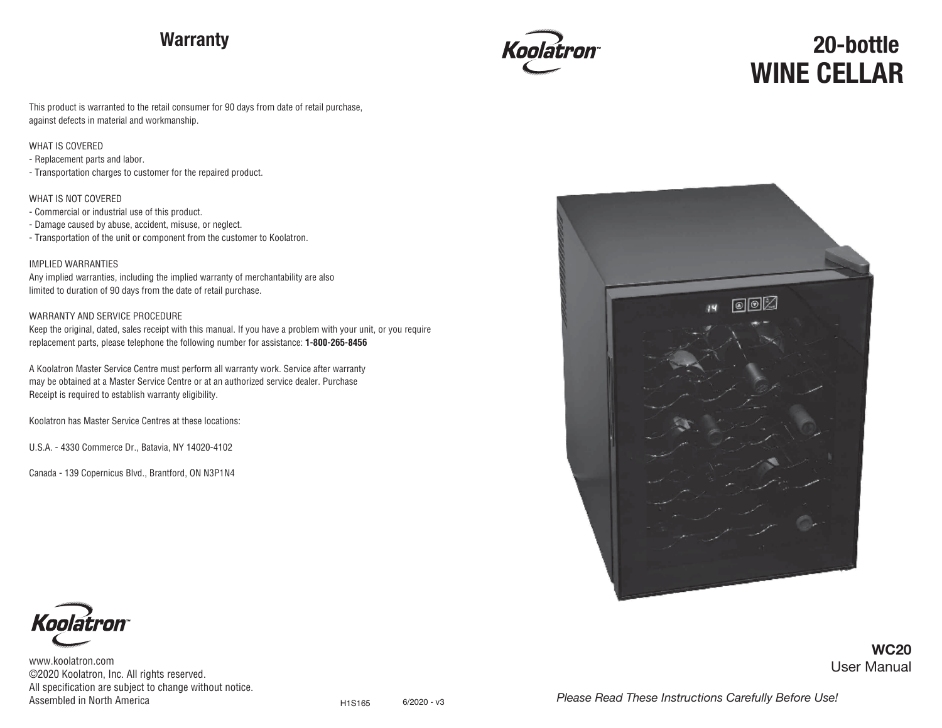## **Warranty**



# **WINE CELLAR 20-bottle**

This product is warranted to the retail consumer for 90 days from date of retail purchase, against defects in material and workmanship.

#### WHAT IS COVERED

- Replacement parts and labor.

- Transportation charges to customer for the repaired product.

#### WHAT IS NOT COVERED

- Commercial or industrial use of this product.

- Damage caused by abuse, accident, misuse, or neglect.
- Transportation of the unit or component from the customer to Koolatron.

#### IMPLIED WARRANTIES

Any implied warranties, including the implied warranty of merchantability are also limited to duration of 90 days from the date of retail purchase.

#### WARRANTY AND SERVICE PROCEDURE

Keep the original, dated, sales receipt with this manual. If you have a problem with your unit, or you require replacement parts, please telephone the following number for assistance: **1-800-265-8456**

A Koolatron Master Service Centre must perform all warranty work. Service after warranty may be obtained at a Master Service Centre or at an authorized service dealer. Purchase Receipt is required to establish warranty eligibility.

Koolatron has Master Service Centres at these locations:

U.S.A. - 4330 Commerce Dr., Batavia, NY 14020-4102

Canada - 139 Copernicus Blvd., Brantford, ON N3P1N4





www.koolatron.com ©2020 Koolatron, Inc. All rights reserved. All specification are subject to change without notice. User Manual **WC20**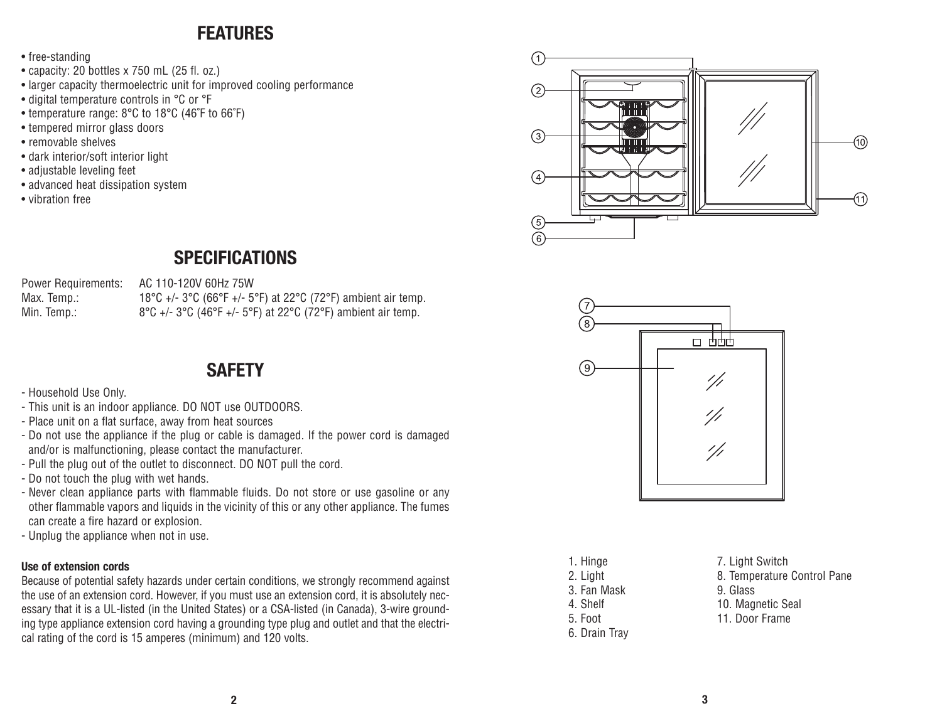## **FEATURES**

- free-standing
- capacity: 20 bottles x 750 mL (25 fl. oz.)
- larger capacity thermoelectric unit for improved cooling performance
- digital temperature controls in °C or °F
- temperature range: 8°C to 18°C (46˚F to 66˚F)
- tempered mirror glass doors
- removable shelves
- dark interior/soft interior light
- adjustable leveling feet
- advanced heat dissipation system
- vibration free



## **SPECIFICATIONS**

Power Requirements: AC 110-120V 60Hz 75W

Max. Temp.: 18°C +/- 3°C (66°F +/- 5°F) at 22°C (72°F) ambient air temp. Min. Temp.:  $8^{\circ}C$  +/- 3°C (46°F +/- 5°F) at 22°C (72°F) ambient air temp.

## **SAFETY**

- Household Use Only.
- This unit is an indoor appliance. DO NOT use OUTDOORS.
- Place unit on a flat surface, away from heat sources
- Do not use the appliance if the plug or cable is damaged. If the power cord is damaged and/or is malfunctioning, please contact the manufacturer.
- Pull the plug out of the outlet to disconnect. DO NOT pull the cord.
- Do not touch the plug with wet hands.
- Never clean appliance parts with flammable fluids. Do not store or use gasoline or any other flammable vapors and liquids in the vicinity of this or any other appliance. The fumes can create a fire hazard or explosion.
- Unplug the appliance when not in use.

### **Use of extension cords**

Because of potential safety hazards under certain conditions, we strongly recommend against the use of an extension cord. However, if you must use an extension cord, it is absolutely necessary that it is a UL-listed (in the United States) or a CSA-listed (in Canada), 3-wire grounding type appliance extension cord having a grounding type plug and outlet and that the electrical rating of the cord is 15 amperes (minimum) and 120 volts.



| 1. Hinge      |
|---------------|
| 2. Light      |
| 3. Fan Mask   |
| 4. Shelf      |
| 5. Foot       |
| 6. Drain Tray |

7. Light Switch 8. Temperature Control Pane 9. Glass 10. Magnetic Seal 11. Door Frame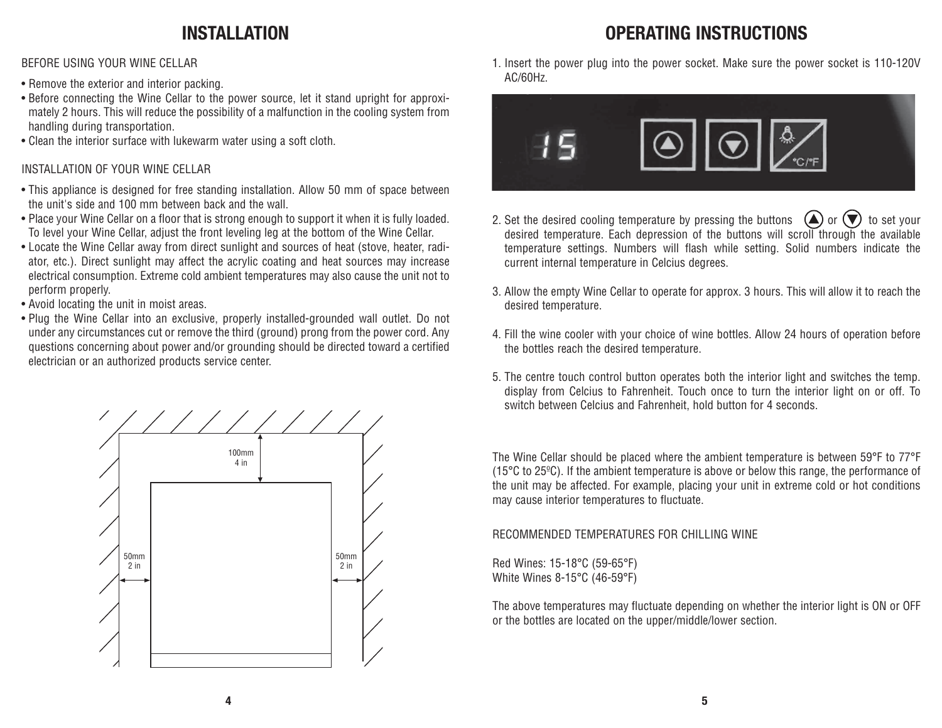## **INSTALLATION**

BEFORE USING YOUR WINE CELLAR

- Remove the exterior and interior packing.
- Before connecting the Wine Cellar to the power source, let it stand upright for approximately 2 hours. This will reduce the possibility of a malfunction in the cooling system from handling during transportation.
- Clean the interior surface with lukewarm water using a soft cloth.

### INSTALLATION OF YOUR WINE CELLAR

- This appliance is designed for free standing installation. Allow 50 mm of space between the unit's side and 100 mm between back and the wall.
- Place your Wine Cellar on a floor that is strong enough to support it when it is fully loaded. To level your Wine Cellar, adjust the front leveling leg at the bottom of the Wine Cellar.
- Locate the Wine Cellar away from direct sunlight and sources of heat (stove, heater, radiator, etc.). Direct sunlight may affect the acrylic coating and heat sources may increase electrical consumption. Extreme cold ambient temperatures may also cause the unit not to perform properly.
- Avoid locating the unit in moist areas.
- Plug the Wine Cellar into an exclusive, properly installed-grounded wall outlet. Do not under any circumstances cut or remove the third (ground) prong from the power cord. Any questions concerning about power and/or grounding should be directed toward a certified electrician or an authorized products service center.



1. Insert the power plug into the power socket. Make sure the power socket is 110-120V AC/60Hz.

**OPERATING INSTRUCTIONS**



- 2. Set the desired cooling temperature by pressing the buttons  $\bigcirc$  or  $\bigcirc$  to set your desired temperature. Each depression of the buttons will scroll through the available temperature settings. Numbers will flash while setting. Solid numbers indicate the current internal temperature in Celcius degrees.
- 3. Allow the empty Wine Cellar to operate for approx. 3 hours. This will allow it to reach the desired temperature.
- 4. Fill the wine cooler with your choice of wine bottles. Allow 24 hours of operation before the bottles reach the desired temperature.
- 5. The centre touch control button operates both the interior light and switches the temp. display from Celcius to Fahrenheit. Touch once to turn the interior light on or off. To switch between Celcius and Fahrenheit, hold button for 4 seconds.

The Wine Cellar should be placed where the ambient temperature is between 59°F to 77°F (15°C to 25ºC). If the ambient temperature is above or below this range, the performance of the unit may be affected. For example, placing your unit in extreme cold or hot conditions may cause interior temperatures to fluctuate.

## RECOMMENDED TEMPERATURES FOR CHILLING WINE

Red Wines: 15-18°C (59-65°F) White Wines 8-15°C (46-59°F)

The above temperatures may fluctuate depending on whether the interior light is ON or OFF or the bottles are located on the upper/middle/lower section.